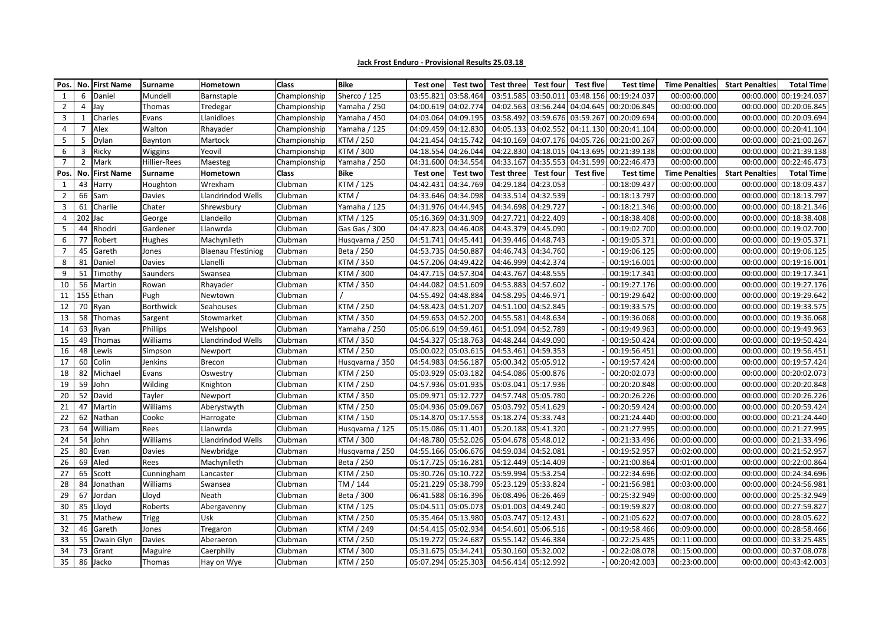| Pos. No.       |                | <b>First Name</b> | <b>Surname</b>   | Hometown                  | <b>Class</b> | <b>Bike</b>      | Test one            | Test two            | Test three          | <b>Test four</b>    | <b>Test five</b> | <b>Test time</b>                           | <b>Time Penalties</b> | <b>Start Penalties</b> | <b>Total Time</b>      |
|----------------|----------------|-------------------|------------------|---------------------------|--------------|------------------|---------------------|---------------------|---------------------|---------------------|------------------|--------------------------------------------|-----------------------|------------------------|------------------------|
| 1              | 6              | Daniel            | Mundell          | Barnstaple                | Championship | Sherco / 125     | 03:55.821           | 03:58.464           |                     | 03:51.585 03:50.011 |                  | 03:48.156 00:19:24.037                     | 00:00:00.000          | 00:00.000              | 00:19:24.037           |
| $\overline{2}$ |                | Jay               | Thomas           | Tredegar                  | Championship | Yamaha / 250     | 04:00.619           | 04:02.774           |                     | 04:02.563 03:56.244 |                  | 04:04.645 00:20:06.845                     | 00:00:00.000          | 00:00.000              | 00:20:06.845           |
| 3              |                | Charles           | Evans            | Llanidloes                | Championship | Yamaha / 450     | 04:03.064           | 04:09.195           |                     |                     |                  | 03:58.492 03:59.676 03:59.267 00:20:09.694 | 00:00:00.000          |                        | 00:00.000 00:20:09.694 |
| $\overline{4}$ | 7              | Alex              | Walton           | Rhayader                  | Championship | Yamaha / 125     | 04:09.459           | 04:12.830           |                     | 04:05.133 04:02.552 |                  | 04:11.130 00:20:41.104                     | 00:00:00.000          |                        | 00:00.000 00:20:41.104 |
| 5              | 5              | Dylan             | Baynton          | Martock                   | Championship | KTM / 250        | 04:21.454 04:15.742 |                     |                     | 04:10.169 04:07.176 |                  | 04:05.726 00:21:00.267                     | 00:00:00.000          |                        | 00:00.000 00:21:00.267 |
| 6              | 3              | Ricky             | Wiggins          | Yeovil                    | Championship | <b>KTM / 300</b> | 04:18.554 04:26.044 |                     |                     |                     |                  | 04:22.830 04:18.015 04:13.695 00:21:39.138 | 00:00:00.000          |                        | 00:00.000 00:21:39.138 |
| $\overline{7}$ | $\overline{2}$ | Mark              | Hillier-Rees     | Maesteg                   | Championship | Yamaha / 250     | 04:31.600           | 04:34.554           |                     | 04:33.167 04:35.553 |                  | 04:31.599 00:22:46.473                     | 00:00:00.000          |                        | 00:00.000 00:22:46.473 |
| Pos.           | No.            | <b>First Name</b> | <b>Surname</b>   | Hometown                  | <b>Class</b> | <b>Bike</b>      | Test one            | Test two            | Test three          | <b>Test four</b>    | <b>Test five</b> | Test time                                  | <b>Time Penalties</b> | <b>Start Penalties</b> | <b>Total Time</b>      |
| 1              | 43             | Harry             | Houghton         | Wrexham                   | Clubman      | KTM / 125        | 04:42.431           | 04:34.769           |                     | 04:29.184 04:23.053 |                  | 00:18:09.437                               | 00:00:00.000          | 00:00.000              | 00:18:09.437           |
| $\overline{2}$ | 66             | Sam               | <b>Davies</b>    | Llandrindod Wells         | Clubman      | KTM /            | 04:33.646 04:34.098 |                     |                     | 04:33.514 04:32.539 |                  | 00:18:13.797                               | 00:00:00.000          |                        | 00:00.000 00:18:13.797 |
| 3              | 61             | Charlie           | Chater           | Shrewsbury                | Clubman      | Yamaha / 125     | 04:31.976 04:44.945 |                     |                     | 04:34.698 04:29.727 |                  | 00:18:21.346                               | 00:00:00.000          |                        | 00:00.000 00:18:21.346 |
| 4              | $202$ Jac      |                   | George           | Llandeilo                 | Clubman      | KTM / 125        | 05:16.369 04:31.909 |                     |                     | 04:27.721 04:22.409 |                  | 00:18:38.408                               | 00:00:00.000          |                        | 00:00.000 00:18:38.408 |
| 5              | 44             | Rhodri            | Gardener         | Llanwrda                  | Clubman      | Gas Gas / 300    | 04:47.823 04:46.408 |                     |                     | 04:43.379 04:45.090 |                  | 00:19:02.700                               | 00:00:00.000          | 00:00.000              | 00:19:02.700           |
| 6              | 77             | Robert            | Hughes           | Machynlleth               | Clubman      | Husqvarna / 250  | 04:51.741           | 04:45.44            |                     | 04:39.446 04:48.743 |                  | 00:19:05.371                               | 00:00:00.000          | 00:00.000              | 00:19:05.371           |
| $\overline{7}$ | 45             | Gareth            | Jones            | <b>Blaenau Ffestiniog</b> | Clubman      | Beta / 250       | 04:53.735 04:50.88  |                     |                     | 04:46.743 04:34.760 |                  | 00:19:06.125                               | 00:00:00.000          |                        | 00:00.000 00:19:06.125 |
| 8              | 81             | Daniel            | <b>Davies</b>    | Llanelli                  | Clubman      | KTM / 350        | 04:57.206           | 04:49.422           |                     | 04:46.999 04:42.374 |                  | 00:19:16.001                               | 00:00:00.000          | 00:00.000              | 00:19:16.001           |
| 9              | 51             | Timothy           | Saunders         | Swansea                   | Clubman      | <b>KTM / 300</b> | 04:47.715 04:57.304 |                     |                     | 04:43.767 04:48.555 |                  | 00:19:17.341                               | 00:00:00.000          |                        | 00:00.000 00:19:17.341 |
| 10             | 56             | Martin            | Rowan            | Rhayader                  | Clubman      | KTM / 350        | 04:44.082 04:51.609 |                     |                     | 04:53.883 04:57.602 |                  | 00:19:27.176                               | 00:00:00.000          |                        | 00:00.000 00:19:27.176 |
| 11             |                | 155 Ethan         | Pugh             | Newtown                   | Clubman      |                  | 04:55.492           | 04:48.884           |                     | 04:58.295 04:46.971 |                  | 00:19:29.642                               | 00:00:00.000          |                        | 00:00.000 00:19:29.642 |
| 12             | 70             | Ryan              | <b>Borthwick</b> | Seahouses                 | Clubman      | KTM / 250        | 04:58.423 04:51.207 |                     |                     | 04:51.100 04:52.845 |                  | 00:19:33.575                               | 00:00:00.000          | 00:00.000              | 00:19:33.575           |
| 13             | 58             | Thomas            | Sargent          | Stowmarket                | Clubman      | <b>KTM / 350</b> | 04:59.653 04:52.200 |                     |                     | 04:55.581 04:48.634 |                  | 00:19:36.068                               | 00:00:00.000          |                        | 00:00.000 00:19:36.068 |
| 14             | 63             | Ryan              | Phillips         | Welshpool                 | Clubman      | Yamaha / 250     | 05:06.619 04:59.461 |                     |                     | 04:51.094 04:52.789 |                  | 00:19:49.963                               | 00:00:00.000          |                        | 00:00.000 00:19:49.963 |
| 15             | 49             | Thomas            | <b>Williams</b>  | Llandrindod Wells         | Clubman      | KTM / 350        | 04:54.327 05:18.763 |                     |                     | 04:48.244 04:49.090 |                  | 00:19:50.424                               | 00:00:00.000          |                        | 00:00.000 00:19:50.424 |
| 16             | 48             | Lewis             | Simpson          | Newport                   | Clubman      | KTM / 250        | 05:00.022           | 05:03.615           |                     | 04:53.461 04:59.353 |                  | 00:19:56.451                               | 00:00:00.000          |                        | 00:00.000 00:19:56.451 |
| 17             | 60             | Colin             | Jenkins          | <b>Brecon</b>             | Clubman      | Husqvarna / 350  | 04:54.983           | 04:56.187           |                     | 05:00.342 05:05.912 |                  | 00:19:57.424                               | 00:00:00.000          | 00:00.000              | 00:19:57.424           |
| 18             | 82             | Michael           | Evans            | Oswestry                  | Clubman      | KTM / 250        | 05:03.929           | 05:03.182           |                     | 04:54.086 05:00.876 |                  | 00:20:02.073                               | 00:00:00.000          | 00:00.000              | 00:20:02.073           |
| 19             | 59             | John              | <b>Wilding</b>   | Knighton                  | Clubman      | KTM / 250        | 04:57.936 05:01.935 |                     |                     | 05:03.041 05:17.936 |                  | 00:20:20.848                               | 00:00:00.000          |                        | 00:00.000 00:20:20.848 |
| 20             | 52             | David             | Tayler           | Newport                   | Clubman      | <b>KTM / 350</b> | 05:09.971 05:12.72  |                     |                     | 04:57.748 05:05.780 |                  | 00:20:26.226                               | 00:00:00.000          |                        | 00:00.000 00:20:26.226 |
| 21             | 47             | Martin            | Williams         | Aberystwyth               | Clubman      | <b>KTM / 250</b> | 05:04.936 05:09.067 |                     |                     | 05:03.792 05:41.629 |                  | 00:20:59.424                               | 00:00:00.000          |                        | 00:00.000 00:20:59.424 |
| 22             | 62             | Nathan            | Cooke            | Harrogate                 | Clubman      | KTM / 150        |                     | 05:14.870 05:17.553 |                     | 05:18.274 05:33.743 |                  | 00:21:24.440                               | 00:00:00.000          |                        | 00:00.000 00:21:24.440 |
| 23             |                | 64 William        | Rees             | Llanwrda                  | Clubman      | Husqvarna / 125  |                     | 05:15.086 05:11.401 | 05:20.188 05:41.320 |                     |                  | 00:21:27.995                               | 00:00:00.000          |                        | 00:00.000 00:21:27.995 |
| 24             |                | 54 John           | Williams         | Llandrindod Wells         | Clubman      | KTM / 300        |                     | 04:48.780 05:52.026 | 05:04.678 05:48.012 |                     |                  | 00:21:33.496                               | 00:00:00.000          |                        | 00:00.000 00:21:33.496 |
| 25             |                | 80 Evan           | <b>Davies</b>    | Newbridge                 | Clubman      | Husqvarna / 250  | 04:55.166 05:06.676 |                     | 04:59.034 04:52.081 |                     |                  | 00:19:52.957                               | 00:02:00.000          |                        | 00:00.000 00:21:52.957 |
| 26             |                | 69 Aled           | Rees             | Machynlleth               | Clubman      | Beta / 250       | 05:17.725 05:16.281 |                     |                     | 05:12.449 05:14.409 |                  | 00:21:00.864                               | 00:01:00.000          |                        | 00:00.000 00:22:00.864 |
| 27             |                | 65 Scott          | Cunningham       | Lancaster                 | Clubman      | KTM / 250        | 05:30.726 05:10.722 |                     |                     | 05:59.994 05:53.254 |                  | 00:22:34.696                               | 00:02:00.000          |                        | 00:00.000 00:24:34.696 |
| 28             |                | 84 Jonathan       | Williams         | Swansea                   | Clubman      | TM / 144         |                     | 05:21.229 05:38.799 |                     | 05:23.129 05:33.824 |                  | 00:21:56.981                               | 00:03:00.000          |                        | 00:00.000 00:24:56.981 |
| 29             | 67             | Jordan            | Lloyd            | Neath                     | Clubman      | Beta / 300       |                     | 06:41.588 06:16.396 |                     | 06:08.496 06:26.469 |                  | 00:25:32.949                               | 00:00:00.000          |                        | 00:00.000 00:25:32.949 |
| 30             |                | 85 Lloyd          | Roberts          | Abergavenny               | Clubman      | KTM / 125        | 05:04.511 05:05.073 |                     | 05:01.003 04:49.240 |                     |                  | 00:19:59.827                               | 00:08:00.000          |                        | 00:00.000 00:27:59.827 |
| 31             |                | 75 Mathew         | <b>Trigg</b>     | Usk                       | Clubman      | KTM / 250        |                     | 05:35.464 05:13.980 | 05:03.747 05:12.431 |                     |                  | 00:21:05.622                               | 00:07:00.000          |                        | 00:00.000 00:28:05.622 |
| 32             |                | 46 Gareth         | Jones            | Tregaron                  | Clubman      | KTM / 249        |                     | 04:54.415 05:02.934 |                     | 04:54.601 05:06.516 |                  | 00:19:58.466                               | 00:09:00.000          |                        | 00:00.000 00:28:58.466 |
| 33             |                | 55 Owain Glyn     | Davies           | Aberaeron                 | Clubman      | KTM / 250        | 05:19.272 05:24.687 |                     |                     | 05:55.142 05:46.384 |                  | 00:22:25.485                               | 00:11:00.000          |                        | 00:00.000 00:33:25.485 |
| 34             | 73             | Grant             | Maguire          | Caerphilly                | Clubman      | KTM / 300        | 05:31.675 05:34.241 |                     |                     | 05:30.160 05:32.002 |                  | 00:22:08.078                               | 00:15:00.000          |                        | 00:00.000 00:37:08.078 |
| 35             |                | 86 Jacko          | Thomas           | Hay on Wye                | Clubman      | KTM / 250        |                     | 05:07.294 05:25.303 | 04:56.414 05:12.992 |                     |                  | 00:20:42.003                               | 00:23:00.000          |                        | 00:00.000 00:43:42.003 |

## **Jack Frost Enduro - Provisional Results 25.03.18**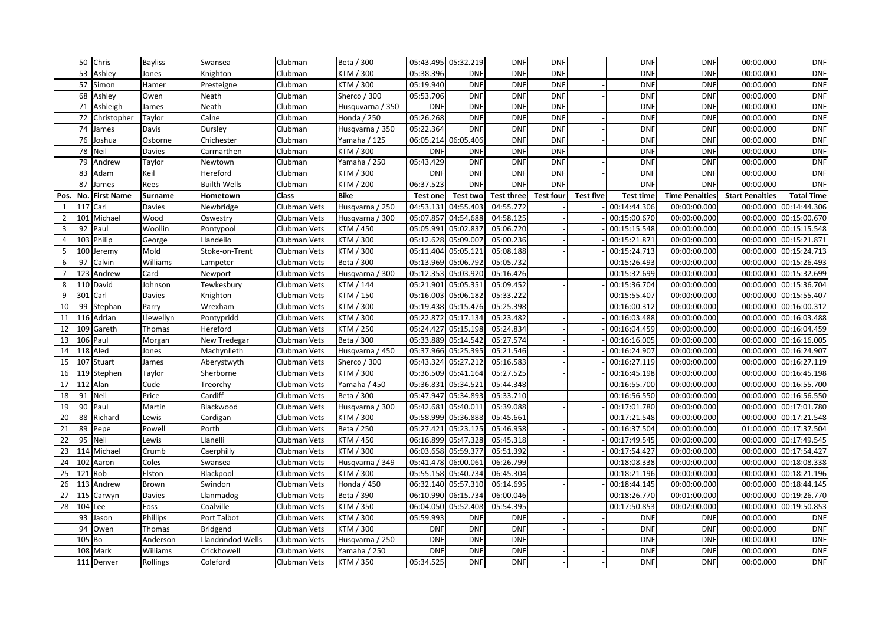|                 |            | 50 Chris           | <b>Bayliss</b> | Swansea             | Clubman             | Beta / 300       |                     | 05:43.495 05:32.219 | <b>DNF</b>        | <b>DNF</b>       |                  | <b>DNF</b>   | <b>DNF</b>            | 00:00.000              | <b>DNF</b>             |
|-----------------|------------|--------------------|----------------|---------------------|---------------------|------------------|---------------------|---------------------|-------------------|------------------|------------------|--------------|-----------------------|------------------------|------------------------|
|                 |            | 53 Ashley          | Jones          | Knighton            | Clubman             | KTM / 300        | 05:38.396           | <b>DNF</b>          | <b>DNF</b>        | <b>DNF</b>       |                  | <b>DNF</b>   | <b>DNF</b>            | 00:00.000              | <b>DNF</b>             |
|                 | 57         | Simon              | Hamer          | Presteigne          | Clubman             | KTM / 300        | 05:19.940           | DNF                 | <b>DNF</b>        | <b>DNF</b>       |                  | <b>DNF</b>   | <b>DNF</b>            | 00:00.000              | <b>DNF</b>             |
|                 |            | 68 Ashley          | Owen           | Neath               | Clubman             | Sherco / 300     | 05:53.706           | <b>DNF</b>          | <b>DNF</b>        | <b>DNF</b>       |                  | <b>DNF</b>   | <b>DNF</b>            | 00:00.000              | <b>DNF</b>             |
|                 | 71         | Ashleigh           | James          | Neath               | Clubman             | Husquvarna / 350 | <b>DNF</b>          | <b>DNF</b>          | <b>DNF</b>        | <b>DNF</b>       |                  | <b>DNF</b>   | <b>DNF</b>            | 00:00.000              | <b>DNF</b>             |
|                 | 72         | Christopher        | Taylor         | Calne               | Clubman             | Honda / 250      | 05:26.268           | <b>DNF</b>          | <b>DNF</b>        | <b>DNF</b>       |                  | <b>DNF</b>   | <b>DNF</b>            | 00:00.000              | <b>DNF</b>             |
|                 | 74         | James              | Davis          | Dursley             | Clubman             | Husqvarna / 350  | 05:22.364           | <b>DNF</b>          | <b>DNF</b>        | <b>DNF</b>       |                  | <b>DNF</b>   | <b>DNF</b>            | 00:00.000              | <b>DNF</b>             |
|                 | 76         | Joshua             | Osborne        | Chichester          | Clubman             | Yamaha / 125     |                     | 06:05.214 06:05.406 | <b>DNF</b>        | <b>DNF</b>       |                  | <b>DNF</b>   | <b>DNF</b>            | 00:00.000              | <b>DNF</b>             |
|                 |            | 78 Neil            | <b>Davies</b>  | Carmarthen          | Clubman             | KTM / 300        | <b>DNF</b>          | <b>DNF</b>          | <b>DNF</b>        | <b>DNF</b>       |                  | <b>DNF</b>   | <b>DNF</b>            | 00:00.000              | <b>DNF</b>             |
|                 | 79         | Andrew             | Taylor         | Newtown             | Clubman             | Yamaha / 250     | 05:43.429           | <b>DNF</b>          | <b>DNF</b>        | <b>DNF</b>       |                  | <b>DNF</b>   | <b>DNF</b>            | 00:00.000              | <b>DNF</b>             |
|                 |            | 83 Adam            | Keil           | Hereford            | Clubman             | KTM / 300        | <b>DNF</b>          | <b>DNF</b>          | <b>DNF</b>        | <b>DNF</b>       |                  | <b>DNF</b>   | <b>DNF</b>            | 00:00.000              | <b>DNF</b>             |
|                 | 87         | James              | Rees           | <b>Builth Wells</b> | Clubman             | KTM / 200        | 06:37.523           | <b>DNF</b>          | <b>DNF</b>        | <b>DNF</b>       |                  | <b>DNF</b>   | <b>DNF</b>            | 00:00.000              | <b>DNF</b>             |
| Pos.            |            | No. First Name     | <b>Surname</b> | Hometown            | <b>Class</b>        | <b>Bike</b>      | <b>Test one</b>     | Test two            | <b>Test three</b> | <b>Test four</b> | <b>Test five</b> | Test time    | <b>Time Penalties</b> | <b>Start Penalties</b> | <b>Total Time</b>      |
| 1               | $117$ Carl |                    | <b>Davies</b>  | Newbridge           | Clubman Vets        | Husqvarna / 250  |                     | 04:53.131 04:55.403 | 04:55.772         |                  |                  | 00:14:44.306 | 00:00:00.000          |                        | 00:00.000 00:14:44.306 |
|                 |            | 101 Michael        | Wood           | Oswestry            | Clubman Vets        | Husqvarna / 300  |                     | 05:07.857 04:54.688 | 04:58.125         |                  |                  | 00:15:00.670 | 00:00:00.000          |                        | 00:00.000 00:15:00.670 |
| $\mathbf{3}$    |            | 92 Paul            | Woollin        | Pontypool           | Clubman Vets        | KTM / 450        | 05:05.991 05:02.837 |                     | 05:06.720         |                  |                  | 00:15:15.548 | 00:00:00.000          |                        | 00:00.000 00:15:15.548 |
| 4               |            | 103 Philip         | George         | Llandeilo           | Clubman Vets        | KTM / 300        | 05:12.628 05:09.007 |                     | 05:00.236         |                  |                  | 00:15:21.871 | 00:00:00.000          |                        | 00:00.000 00:15:21.871 |
| 5 <sub>1</sub>  |            | 100 Jeremy         | Mold           | Stoke-on-Trent      | Clubman Vets        | KTM / 300        | 05:11.404           | 05:05.12            | 05:08.188         |                  |                  | 00:15:24.713 | 00:00:00.000          | 00:00.000              | 00:15:24.713           |
| 6               | 97         | Calvin             | Williams       | Lampeter            | Clubman Vets        | Beta / 300       |                     | 05:13.969 05:06.792 | 05:05.732         |                  |                  | 00:15:26.493 | 00:00:00.000          |                        | 00:00.000 00:15:26.493 |
|                 |            | 123 Andrew         | Card           | Newport             | Clubman Vets        | Husqvarna / 300  |                     | 05:12.353 05:03.920 | 05:16.426         |                  |                  | 00:15:32.699 | 00:00:00.000          |                        | 00:00.000 00:15:32.699 |
| 8               |            | 110 David          | Johnson        | Tewkesbury          | Clubman Vets        | KTM / 144        |                     | 05:21.901 05:05.351 | 05:09.452         |                  |                  | 00:15:36.704 | 00:00:00.000          |                        | 00:00.000 00:15:36.704 |
| 9               |            | $301$ Carl         | <b>Davies</b>  | Knighton            | Clubman Vets        | KTM / 150        |                     | 05:16.003 05:06.182 | 05:33.222         |                  |                  | 00:15:55.407 | 00:00:00.000          |                        | 00:00.000 00:15:55.407 |
| 10              | 99         | Stephan            | Parry          | Wrexham             | Clubman Vets        | KTM / 300        | 05:19.438           | 05:15.476           | 05:25.398         |                  |                  | 00:16:00.312 | 00:00:00.000          | 00:00.000              | 00:16:00.312           |
| 11              |            | 116 Adrian         | Llewellyn      | Pontypridd          | Clubman Vets        | KTM / 300        |                     | 05:22.872 05:17.134 | 05:23.482         |                  |                  | 00:16:03.488 | 00:00:00.000          |                        | 00:00.000 00:16:03.488 |
| 12 <sup>1</sup> |            | 109 Gareth         | Thomas         | Hereford            | <b>Clubman Vets</b> | KTM / 250        |                     | 05:24.427 05:15.198 | 05:24.834         |                  |                  | 00:16:04.459 | 00:00:00.000          |                        | 00:00.000 00:16:04.459 |
| 13              | 106 Paul   |                    | Morgan         | New Tredegar        | Clubman Vets        | Beta / 300       |                     | 05:33.889 05:14.542 | 05:27.574         |                  |                  | 00:16:16.005 | 00:00:00.000          |                        | 00:00.000 00:16:16.005 |
| 14              |            | 118 Aled           | Jones          | Machynlleth         | Clubman Vets        | Husqvarna / 450  |                     | 05:37.966 05:25.395 | 05:21.546         |                  |                  | 00:16:24.907 | 00:00:00.000          |                        | 00:00.000 00:16:24.907 |
|                 |            | 15   107   Stuart  | James          | Aberystwyth         | Clubman Vets        | Sherco / 300     | 05:43.324 05:27.212 |                     | 05:16.583         |                  |                  | 00:16:27.119 | 00:00:00.000          |                        | 00:00.000 00:16:27.119 |
| 16              |            | 119 Stephen        | Taylor         | Sherborne           | Clubman Vets        | KTM / 300        |                     | 05:36.509 05:41.164 | 05:27.525         |                  |                  | 00:16:45.198 | 00:00:00.000          |                        | 00:00.000 00:16:45.198 |
| 17              |            | $112$ Alan         | Cude           | Treorchy            | Clubman Vets        | Yamaha / 450     | 05:36.831           | 05:34.521           | 05:44.348         |                  |                  | 00:16:55.700 | 00:00:00.000          | 00:00.000              | 00:16:55.700           |
| 18              | 91 Neil    |                    | Price          | Cardiff             | Clubman Vets        | Beta / 300       |                     | 05:47.947 05:34.893 | 05:33.710         |                  |                  | 00:16:56.550 | 00:00:00.000          |                        | 00:00.000 00:16:56.550 |
| 19              |            | 90 Paul            | Martin         | Blackwood           | Clubman Vets        | Husqvarna / 300  |                     | 05:42.681 05:40.011 | 05:39.088         |                  |                  | 00:17:01.780 | 00:00:00.000          |                        | 00:00.000 00:17:01.780 |
| 20              |            | 88 Richard         | Lewis          | Cardigan            | Clubman Vets        | KTM / 300        |                     | 05:58.999 05:36.888 | 05:45.661         |                  |                  | 00:17:21.548 | 00:00:00.000          |                        | 00:00.000 00:17:21.548 |
| 21              |            | 89 Pepe            | Powell         | Porth               | Clubman Vets        | Beta / 250       |                     | 05:27.421 05:23.125 | 05:46.958         |                  |                  | 00:16:37.504 | 00:00:00.000          |                        | 01:00.000 00:17:37.504 |
| 22              |            | 95 Neil            | Lewis          | Llanelli            | Clubman Vets        | KTM / 450        |                     | 06:16.899 05:47.328 | 05:45.318         |                  |                  | 00:17:49.545 | 00:00:00.000          |                        | 00:00.000 00:17:49.545 |
|                 |            | 23   114   Michael | Crumb          | Caerphilly          | Clubman Vets        | KTM / 300        |                     | 06:03.658 05:59.377 | 05:51.392         |                  |                  | 00:17:54.427 | 00:00:00.000          |                        | 00:00.000 00:17:54.427 |
|                 |            | 24   102   Aaron   | Coles          | Swansea             | Clubman Vets        | Husqvarna / 349  |                     | 05:41.478 06:00.061 | 06:26.799         |                  |                  | 00:18:08.338 | 00:00:00.000          |                        | 00:00.000 00:18:08.338 |
|                 | 25 121 Rob |                    | Elston         | Blackpool           | Clubman Vets        | KTM / 300        |                     | 05:55.158 05:40.734 | 06:45.304         |                  |                  | 00:18:21.196 | 00:00:00.000          |                        | 00:00.000 00:18:21.196 |
|                 |            | 26   113   Andrew  | Brown          | Swindon             | Clubman Vets        | Honda / 450      |                     | 06:32.140 05:57.310 | 06:14.695         |                  |                  | 00:18:44.145 | 00:00:00.000          |                        | 00:00.000 00:18:44.145 |
|                 |            | 27 115 Carwyn      | <b>Davies</b>  | Llanmadog           | Clubman Vets        | Beta / 390       |                     | 06:10.990 06:15.734 | 06:00.046         |                  |                  | 00:18:26.770 | 00:01:00.000          |                        | 00:00.000 00:19:26.770 |
| 28              | $104$ Lee  |                    | Foss           | Coalville           | Clubman Vets        | KTM / 350        |                     | 06:04.050 05:52.408 | 05:54.395         |                  |                  | 00:17:50.853 | 00:02:00.000          |                        | 00:00.000 00:19:50.853 |
|                 |            | 93 Jason           | Phillips       | Port Talbot         | Clubman Vets        | KTM / 300        | 05:59.993           | <b>DNF</b>          | <b>DNF</b>        |                  |                  | <b>DNF</b>   | <b>DNF</b>            | 00:00.000              | <b>DNF</b>             |
|                 |            | 94 Owen            | Thomas         | <b>Bridgend</b>     | Clubman Vets        | KTM / 300        | <b>DNF</b>          | DNF                 | <b>DNF</b>        |                  |                  | <b>DNF</b>   | <b>DNF</b>            | 00:00.000              | <b>DNF</b>             |
|                 | $105$ Bo   |                    | Anderson       | Llandrindod Wells   | Clubman Vets        | Husqvarna / 250  | <b>DNF</b>          | <b>DNF</b>          | <b>DNF</b>        |                  |                  | <b>DNF</b>   | <b>DNF</b>            | 00:00.000              | <b>DNF</b>             |
|                 |            | 108 Mark           | Williams       | Crickhowell         | Clubman Vets        | Yamaha / 250     | <b>DNF</b>          | <b>DNF</b>          | DNF               |                  |                  | <b>DNF</b>   | <b>DNF</b>            | 00:00.000              | <b>DNF</b>             |
|                 |            | 111 Denver         | Rollings       | Coleford            | Clubman Vets        | KTM / 350        | 05:34.525           | <b>DNF</b>          | DNF               |                  |                  | <b>DNF</b>   | <b>DNF</b>            | 00:00.000              | <b>DNF</b>             |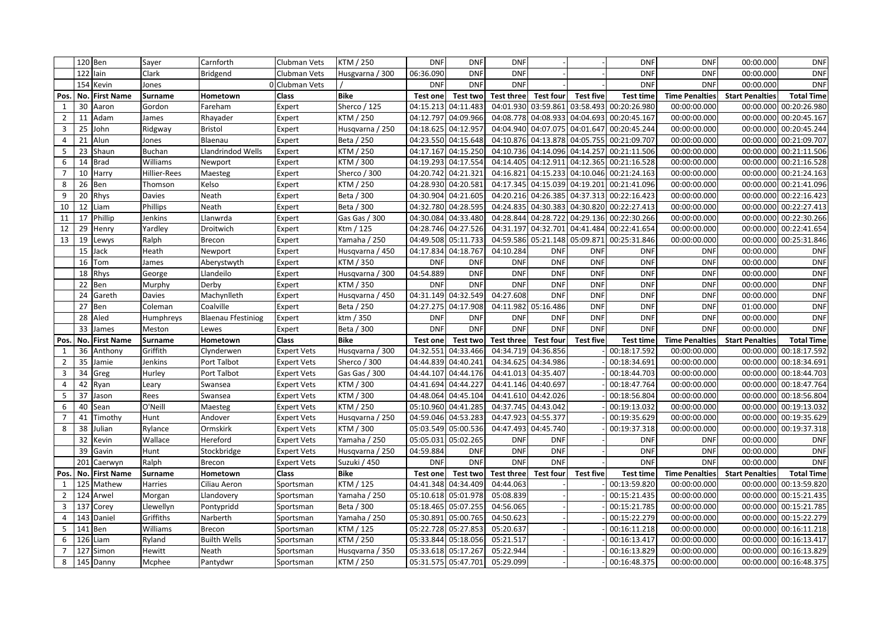|                |               | 120 Ben                 | Sayer          | Carnforth                 | Clubman Vets       | <b>KTM / 250</b> | <b>DNF</b>          | DNF                 | <b>DNF</b>                              |                               |                  | <b>DNF</b>                                 | <b>DNF</b>            | 00:00.000              | <b>DNF</b>             |
|----------------|---------------|-------------------------|----------------|---------------------------|--------------------|------------------|---------------------|---------------------|-----------------------------------------|-------------------------------|------------------|--------------------------------------------|-----------------------|------------------------|------------------------|
|                |               | $122$ lain              | Clark          | <b>Bridgend</b>           | Clubman Vets       | Husgvarna / 300  | 06:36.090           | <b>DNF</b>          | <b>DNF</b>                              |                               |                  | <b>DNF</b>                                 | <b>DNF</b>            | 00:00.000              | <b>DNF</b>             |
|                |               | 154 Kevin               | Jones          |                           | 0 Clubman Vets     |                  | <b>DNF</b>          | <b>DNF</b>          | <b>DNF</b>                              |                               |                  | <b>DNF</b>                                 | <b>DNF</b>            | 00:00.000              | <b>DNF</b>             |
| Pos.           |               | No. First Name          | Surname        | Hometown                  | <b>Class</b>       | <b>Bike</b>      | <b>Test onel</b>    | Test two            | Test three                              | <b>Test four</b>              | <b>Test five</b> | <b>Test time</b>                           | <b>Time Penalties</b> | <b>Start Penalties</b> | <b>Total Time</b>      |
| $\mathbf{1}$   |               | 30 Aaron                | Gordon         | Fareham                   | Expert             | Sherco / 125     |                     | 04:15.213 04:11.483 |                                         |                               |                  | 04:01.930 03:59.861 03:58.493 00:20:26.980 | 00:00:00.000          | 00:00.000              | 00:20:26.980           |
| $\overline{2}$ | 11            | Adam                    | James          | Rhayader                  | Expert             | KTM / 250        |                     | 04:12.797 04:09.966 | 04:08.778                               | 04:08.933                     |                  | 04:04.693 00:20:45.167                     | 00:00:00.000          | 00:00.000              | 00:20:45.167           |
| $\mathbf{3}$   |               | 25 John                 | Ridgway        | <b>Bristol</b>            | Expert             | Husqvarna / 250  |                     | 04:18.625 04:12.957 |                                         |                               |                  | 04:04.940 04:07.075 04:01.647 00:20:45.244 | 00:00:00.000          |                        | 00:00.000 00:20:45.244 |
| 4              | 21            | Alun                    | Jones          | Blaenau                   | Expert             | Beta / 250       |                     | 04:23.550 04:15.648 |                                         |                               |                  | 04:10.876 04:13.878 04:05.755 00:21:09.707 | 00:00:00.000          |                        | 00:00.000 00:21:09.707 |
| 5              |               | 23 Shaun                | <b>Buchan</b>  | Llandrindod Wells         | Expert             | KTM / 250        |                     | 04:17.167 04:15.250 |                                         |                               |                  | 04:10.736 04:14.096 04:14.257 00:21:11.506 | 00:00:00.000          |                        | 00:00.000 00:21:11.506 |
| 6              | 14            | Brad                    | Williams       | Newport                   | Expert             | KTM / 300        |                     | 04:19.293 04:17.554 |                                         |                               |                  | 04:14.405 04:12.911 04:12.365 00:21:16.528 | 00:00:00.000          |                        | 00:00.000 00:21:16.528 |
| $7^{\circ}$    |               | 10 Harry                | Hillier-Rees   | Maesteg                   | Expert             | Sherco / 300     | 04:20.742 04:21.321 |                     |                                         | 04:16.821 04:15.233           |                  | 04:10.046 00:21:24.163                     | 00:00:00.000          |                        | 00:00.000 00:21:24.163 |
| 8              |               | 26 Ben                  | Thomson        | Kelso                     | Expert             | KTM / 250        |                     | 04:28.930 04:20.581 |                                         |                               |                  | 04:17.345 04:15.039 04:19.201 00:21:41.096 | 00:00:00.000          |                        | 00:00.000 00:21:41.096 |
| 9              |               | 20 Rhys                 | <b>Davies</b>  | Neath                     | Expert             | Beta / 300       |                     | 04:30.904 04:21.605 |                                         |                               |                  | 04:20.216 04:26.385 04:37.313 00:22:16.423 | 00:00:00.000          | 00:00.000              | 00:22:16.423           |
| 10             |               | 12 Liam                 | Phillips       | Neath                     | Expert             | Beta / 300       |                     | 04:32.780 04:28.595 |                                         |                               |                  | 04:24.835 04:30.383 04:30.820 00:22:27.413 | 00:00:00.000          |                        | 00:00.000 00:22:27.413 |
| 11             | 17            | Phillip                 | Jenkins        | Llanwrda                  | Expert             | Gas Gas / 300    |                     | 04:30.084 04:33.480 |                                         | 04:28.844 04:28.722           |                  | 04:29.136 00:22:30.266                     | 00:00:00.000          |                        | 00:00.000 00:22:30.266 |
| 12             | 29            | Henry                   | Yardley        | Droitwich                 | Expert             | Ktm / 125        |                     | 04:28.746 04:27.526 |                                         | 04:31.197 04:32.701           |                  | 04:41.484 00:22:41.654                     | 00:00:00.000          |                        | 00:00.000 00:22:41.654 |
| 13             | 19            | Lewys                   | Ralph          | <b>Brecon</b>             | Expert             | Yamaha / 250     |                     | 04:49.508 05:11.733 |                                         | 04:59.586 05:21.148 05:09.871 |                  | 00:25:31.846                               | 00:00:00.000          |                        | 00:00.000 00:25:31.846 |
|                |               | 15 Jack                 | Heath          | Newport                   | Expert             | Husqvarna / 450  |                     | 04:17.834 04:18.767 | 04:10.284                               | <b>DNF</b>                    | <b>DNF</b>       | <b>DNF</b>                                 | <b>DNF</b>            | 00:00.000              | <b>DNF</b>             |
|                |               | 16 $Tom$                | James          | Aberystwyth               | Expert             | KTM / 350        | <b>DNF</b>          | <b>DNF</b>          | <b>DNF</b>                              | <b>DNF</b>                    | <b>DNF</b>       | <b>DNF</b>                                 | <b>DNF</b>            | 00:00.000              | <b>DNF</b>             |
|                |               | 18 Rhys                 | George         | Llandeilo                 | Expert             | Husqvarna / 300  | 04:54.889           | <b>DNF</b>          | <b>DNF</b>                              | <b>DNF</b>                    | <b>DNF</b>       | <b>DNF</b>                                 | <b>DNF</b>            | 00:00.000              | <b>DNF</b>             |
|                |               | 22 Ben                  | Murphy         | Derby                     | Expert             | KTM / 350        | <b>DNF</b>          | <b>DNF</b>          | <b>DNF</b>                              | <b>DNF</b>                    | <b>DNF</b>       | <b>DNF</b>                                 | <b>DNF</b>            | 00:00.000              | <b>DNF</b>             |
|                | 24            | Gareth                  | <b>Davies</b>  | Machynlleth               | Expert             | Husqvarna / 450  |                     | 04:31.149 04:32.549 | 04:27.608                               | <b>DNF</b>                    | <b>DNF</b>       | <b>DNF</b>                                 | <b>DNF</b>            | 00:00.000              | <b>DNF</b>             |
|                | 27            | Ben                     | Coleman        | Coalville                 | Expert             | Beta / 250       |                     | 04:27.275 04:17.908 |                                         | 04:11.982 05:16.486           | <b>DNF</b>       | <b>DNF</b>                                 | <b>DNF</b>            | 01:00.000              | <b>DNF</b>             |
|                |               | 28 Aled                 | Humphreys      | <b>Blaenau Ffestiniog</b> | Expert             | ktm / 350        | <b>DNF</b>          | <b>DNF</b>          | <b>DNF</b>                              | <b>DNF</b>                    | <b>DNF</b>       | <b>DNF</b>                                 | <b>DNF</b>            | 00:00.000              | <b>DNF</b>             |
|                |               | 33 James                | Meston         | Lewes                     | Expert             | Beta / 300       | <b>DNF</b>          | <b>DNF</b>          | <b>DNF</b>                              | <b>DNF</b>                    | <b>DNF</b>       | <b>DNF</b>                                 | <b>DNF</b>            | 00:00.000              | <b>DNF</b>             |
| Pos.           |               | No. First Name          | Surname        | Hometown                  | <b>Class</b>       | <b>Bike</b>      | Test one            | Test two            | <b>Test three</b>                       | <b>Test four</b>              | Test five        | <b>Test time</b>                           | <b>Time Penalties</b> | <b>Start Penalties</b> | <b>Total Time</b>      |
| 1              |               |                         | Griffith       |                           |                    |                  |                     |                     |                                         |                               |                  |                                            |                       |                        |                        |
| $\overline{2}$ |               | 36 Anthony              |                | Clynderwen                | <b>Expert Vets</b> | Husqvarna / 300  | 04:32.551 04:33.466 |                     | 04:34.719 04:36.856                     |                               |                  | 00:18:17.592                               | 00:00:00.000          | 00:00.000              | 00:18:17.592           |
|                | 35            | Jamie                   | <b>Jenkins</b> | Port Talbot               | <b>Expert Vets</b> | Sherco / 300     | 04:44.839           | 04:40.24            | 04:34.625                               | 04:34.986                     |                  | 00:18:34.691                               | 00:00:00.000          | 00:00.000              | 00:18:34.691           |
| 3              | 34            | Greg                    | Hurley         | Port Talbot               | <b>Expert Vets</b> | Gas Gas / 300    |                     | 04:44.107 04:44.176 |                                         | 04:41.013 04:35.407           |                  | 00:18:44.703                               | 00:00:00.000          |                        | 00:00.000 00:18:44.703 |
| 4              |               | 42 Ryan                 | Leary          | Swansea                   | <b>Expert Vets</b> | KTM / 300        | 04:41.694 04:44.227 |                     |                                         | 04:41.146 04:40.697           |                  | 00:18:47.764                               | 00:00:00.000          |                        | 00:00.000 00:18:47.764 |
| 5 <sup>1</sup> |               | 37 Jason                | Rees           | Swansea                   | <b>Expert Vets</b> | KTM / 300        |                     | 04:48.064 04:45.104 |                                         | 04:41.610 04:42.026           |                  | 00:18:56.804                               | 00:00:00.000          |                        | 00:00.000 00:18:56.804 |
| 6              |               | 40 Sean                 | O'Neill        | Maesteg                   | <b>Expert Vets</b> | KTM / 250        |                     |                     | 05:10.960 04:41.285 04:37.745 04:43.042 |                               |                  | 00:19:13.032                               | 00:00:00.000          |                        | 00:00.000 00:19:13.032 |
| 7 <sup>7</sup> |               | 41 Timothy              | Hunt           | Andover                   | <b>Expert Vets</b> | Husqvarna / 250  |                     | 04:59.046 04:53.283 |                                         | 04:47.923 04:55.377           |                  | 00:19:35.629                               | 00:00:00.000          |                        | 00:00.000 00:19:35.629 |
| 8              |               | 38 Julian               | Rylance        | Ormskirk                  | <b>Expert Vets</b> | KTM / 300        |                     | 05:03.549 05:00.536 |                                         | 04:47.493 04:45.740           |                  | 00:19:37.318                               | 00:00:00.000          |                        | 00:00.000 00:19:37.318 |
|                |               | 32 Kevin                | Wallace        | Hereford                  | <b>Expert Vets</b> | Yamaha / 250     |                     | 05:05.031 05:02.265 | <b>DNF</b>                              | <b>DNF</b>                    |                  | <b>DNF</b>                                 | <b>DNF</b>            | 00:00.000              | <b>DNF</b>             |
|                |               | 39 Gavin                | Hunt           | Stockbridge               | <b>Expert Vets</b> | Husqvarna / 250  | 04:59.884           | <b>DNF</b>          | <b>DNF</b>                              | <b>DNF</b>                    |                  | <b>DNF</b>                                 | <b>DNF</b>            | 00:00.000              | <b>DNF</b>             |
|                |               | 201 Caerwyn             | Ralph          | Brecon                    | Expert Vets        | Suzuki / 450     | <b>DNF</b>          | <b>DNF</b>          | <b>DNF</b>                              | <b>DNF</b>                    |                  | <b>DNF</b>                                 | <b>DNF</b>            | 00:00.000              | <b>DNF</b>             |
|                |               | Pos.   No.   First Name | Surname        | Hometown                  | <b>Class</b>       | <b>Bike</b>      | Test one            |                     | Test two Test three                     | <b>Test four</b>              | <b>Test five</b> | <b>Test time</b>                           | <b>Time Penalties</b> | <b>Start Penalties</b> | <b>Total Time</b>      |
|                |               | 1   125 Mathew          | <b>Harries</b> | Ciliau Aeron              | Sportsman          | KTM / 125        |                     | 04:41.348 04:34.409 | 04:44.063                               |                               |                  | 00:13:59.820                               | 00:00:00.000          |                        | 00:00.000 00:13:59.820 |
|                |               | 2 124 Arwel             | Morgan         | Llandovery                | Sportsman          | Yamaha / 250     |                     | 05:10.618 05:01.978 | 05:08.839                               |                               |                  | 00:15:21.435                               | 00:00:00.000          |                        | 00:00.000 00:15:21.435 |
|                |               | 3 137 Corey             | Llewellyn      | Pontypridd                | Sportsman          | Beta / 300       |                     | 05:18.465 05:07.255 | 04:56.065                               |                               |                  | 00:15:21.785                               | 00:00:00.000          |                        | 00:00.000 00:15:21.785 |
|                |               | $4$   143   Daniel      | Griffiths      | Narberth                  | Sportsman          | Yamaha / 250     |                     | 05:30.891 05:00.765 | 04:50.623                               |                               |                  | 00:15:22.279                               | 00:00:00.000          |                        | 00:00.000 00:15:22.279 |
|                | 5 $ 141 $ Ben |                         | Williams       | Brecon                    | Sportsman          | KTM / 125        |                     | 05:22.728 05:27.853 | 05:20.637                               |                               |                  | 00:16:11.218                               | 00:00:00.000          |                        | 00:00.000 00:16:11.218 |
|                |               | $6$   126 Liam          | Ryland         | <b>Builth Wells</b>       | Sportsman          | KTM / 250        |                     | 05:33.844 05:18.056 | 05:21.517                               |                               |                  | 00:16:13.417                               | 00:00:00.000          |                        | 00:00.000 00:16:13.417 |
|                |               | 7 127 Simon             | Hewitt         | Neath                     | Sportsman          | Husqvarna / 350  |                     | 05:33.618 05:17.267 | 05:22.944                               |                               |                  | 00:16:13.829                               | 00:00:00.000          |                        | 00:00.000 00:16:13.829 |